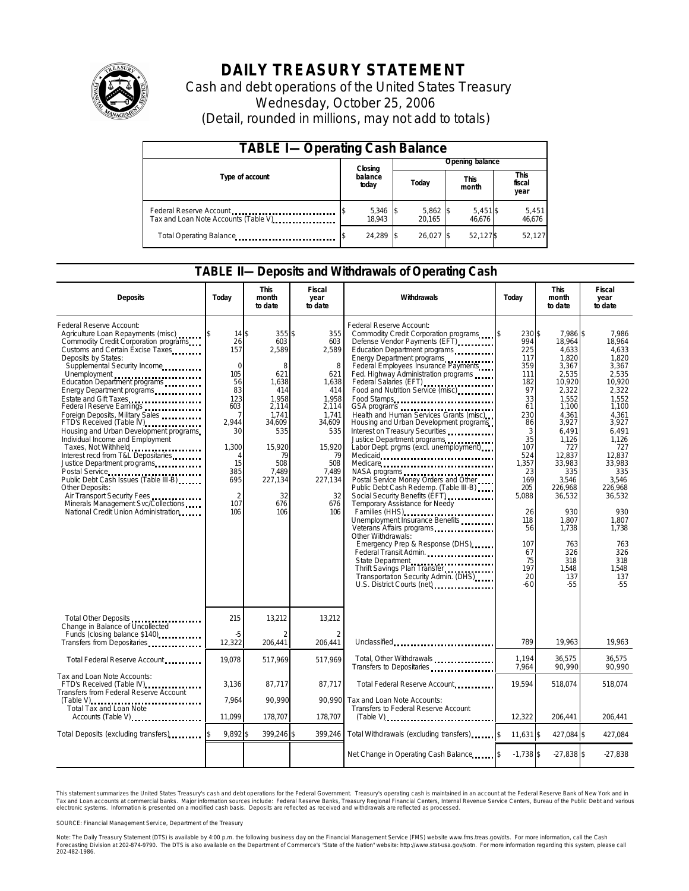

# **DAILY TREASURY STATEMENT**

Cash and debt operations of the United States Treasury Wednesday, October 25, 2006 (Detail, rounded in millions, may not add to totals)

| <b>TABLE I-Operating Cash Balance</b>                           |  |                             |  |                      |  |                      |  |                               |  |  |
|-----------------------------------------------------------------|--|-----------------------------|--|----------------------|--|----------------------|--|-------------------------------|--|--|
|                                                                 |  | Closing<br>balance<br>today |  | Opening balance      |  |                      |  |                               |  |  |
| Type of account                                                 |  |                             |  | Today                |  | <b>This</b><br>month |  | <b>This</b><br>fiscal<br>year |  |  |
| Federal Reserve Account<br>Tax and Loan Note Accounts (Table V) |  | 5,346 \$<br>18.943          |  | $5,862$ \$<br>20.165 |  | $5,451$ \$<br>46.676 |  | 5,451<br>46,676               |  |  |
| Total Operating Balance                                         |  | 24.289 \$                   |  | 26.027 \$            |  | 52,127\$             |  | 52,127                        |  |  |

#### **TABLE II—Deposits and Withdrawals of Operating Cash**

| <b>Deposits</b>                                                                                                                                                                                                                                                                                                                                                                                                                                                                                                                                                                                                                                                                                                                                              | Today                                                                                                                                          | <b>This</b><br>month<br>to date                                                                                                                                 | Fiscal<br>year<br>to date                                                                                                                                  | Withdrawals                                                                                                                                                                                                                                                                                                                                                                                                                                                                                                                                                                                                                                                                                                                                                                                                                                                                                                                                                                                                                                                                                                                                                                                                                                                            | Today                                                                                                                                                                                                     | <b>This</b><br>month<br>to date                                                                                                                                                                                                                                        | Fiscal<br>year<br>to date                                                                                                                                                                                                                                           |
|--------------------------------------------------------------------------------------------------------------------------------------------------------------------------------------------------------------------------------------------------------------------------------------------------------------------------------------------------------------------------------------------------------------------------------------------------------------------------------------------------------------------------------------------------------------------------------------------------------------------------------------------------------------------------------------------------------------------------------------------------------------|------------------------------------------------------------------------------------------------------------------------------------------------|-----------------------------------------------------------------------------------------------------------------------------------------------------------------|------------------------------------------------------------------------------------------------------------------------------------------------------------|------------------------------------------------------------------------------------------------------------------------------------------------------------------------------------------------------------------------------------------------------------------------------------------------------------------------------------------------------------------------------------------------------------------------------------------------------------------------------------------------------------------------------------------------------------------------------------------------------------------------------------------------------------------------------------------------------------------------------------------------------------------------------------------------------------------------------------------------------------------------------------------------------------------------------------------------------------------------------------------------------------------------------------------------------------------------------------------------------------------------------------------------------------------------------------------------------------------------------------------------------------------------|-----------------------------------------------------------------------------------------------------------------------------------------------------------------------------------------------------------|------------------------------------------------------------------------------------------------------------------------------------------------------------------------------------------------------------------------------------------------------------------------|---------------------------------------------------------------------------------------------------------------------------------------------------------------------------------------------------------------------------------------------------------------------|
| Federal Reserve Account:<br>Agriculture Loan Repayments (misc)<br>Commodity Credit Corporation programs<br>Customs and Certain Excise Taxes<br>Deposits by States:<br>Supplemental Security Income<br>Unemployment<br>Education Department programs<br>Energy Department programs<br>Estate and Gift Taxes<br>Federal Reserve Earnings<br>Foreign Deposits, Military Sales<br>FTD's Received (Table IV)<br>Housing and Urban Development programs<br>Individual Income and Employment<br>Taxes, Not Withheld<br>Interest recd from T&L Depositaries<br>Justice Department programs<br>Public Debt Cash Issues (Table III-B)<br>Other Deposits:<br>Air Transport Security Fees<br>Minerals Management Svc/Collections<br>National Credit Union Administration | 14S<br>26<br>157<br>$\Omega$<br>105<br>56<br>83<br>123<br>603<br>7<br>2.944<br>30<br>1,300<br>15<br>385<br>695<br>$\overline{2}$<br>107<br>106 | $355$ \$<br>603<br>2,589<br>8<br>621<br>1,638<br>414<br>1,958<br>2,114<br>1,741<br>34,609<br>535<br>15,920<br>79<br>508<br>7,489<br>227,134<br>32<br>676<br>106 | 355<br>603<br>2,589<br>8<br>621<br>1,638<br>414<br>1,958<br>2,114<br>1,741<br>34,609<br>535<br>15,920<br>79<br>508<br>7,489<br>227,134<br>32<br>676<br>106 | Federal Reserve Account:<br>Commodity Credit Corporation programs \$<br>Defense Vendor Payments (EFT)<br>Education Department programs<br>Energy Department programs<br>Federal Employees Insurance Payments<br>Fed. Highway Administration programs<br>Federal Salaries (EFT)<br>Federal Salaries (EFT)<br>Food and Nutrition Service (misc).<br>Food Stamps<br>Health and Human Services Grants (misc)<br>Housing and Urban Development programs<br>Interest on Treasury Securities<br>Justice Department programs<br>Labor Dept. prgms (excl. unemployment)<br>Medicare<br>NASA programs<br>Postal Service Money Orders and Other<br>Public Debt Cash Redemp. (Table III-B)<br>Social Security Benefits (EFT)<br>Temporary Assistance for Needy<br>Families (HHS) <b>[1994]</b> [1994] [1995] [1995] [1995] [1995] [1995] [1995] [1995] [1995] [1995] [1995] [1995] [1995] [1995] [1995] [1995] [1995] [1995] [1995] [1995] [1995] [1995] [1995] [1995] [1995] [1995] [1995] [1995] [1<br>Unemployment Insurance Benefits<br>Veterans Affairs programs<br>Other Withdrawals:<br>Emergency Prep & Response (DHS)<br>Federal Transit Admin.<br>State Department<br>Thrift Savings Plan Transfer<br>Transportation Security Admin. (DHS)<br>U.S. District Courts (net) | 230\$<br>994<br>225<br>117<br>359<br>111<br>182<br>97<br>33<br>61<br>230<br>86<br>3<br>35<br>107<br>524<br>1,357<br>23<br>169<br>205<br>5,088<br>26<br>118<br>56<br>107<br>67<br>75<br>197<br>20<br>$-60$ | 7,986 \$<br>18,964<br>4,633<br>1.820<br>3,367<br>2,535<br>10,920<br>2,322<br>1,552<br>1,100<br>4.361<br>3,927<br>6.491<br>1,126<br>727<br>12.837<br>33,983<br>335<br>3,546<br>226,968<br>36,532<br>930<br>1,807<br>1,738<br>763<br>326<br>318<br>1,548<br>137<br>$-55$ | 7,986<br>18,964<br>4.633<br>1.820<br>3,367<br>2,535<br>10,920<br>2.322<br>1,552<br>1,100<br>4.361<br>3,927<br>6.491<br>1,126<br>727<br>12.837<br>33,983<br>335<br>3,546<br>226,968<br>36,532<br>930<br>1.807<br>1.738<br>763<br>326<br>318<br>1.548<br>137<br>$-55$ |
| Change in Balance of Uncollected<br>Funds (closing balance \$140)                                                                                                                                                                                                                                                                                                                                                                                                                                                                                                                                                                                                                                                                                            | 215<br>$-5$                                                                                                                                    | 13,212<br>$\mathfrak{D}$                                                                                                                                        | 13,212<br>$\overline{2}$                                                                                                                                   |                                                                                                                                                                                                                                                                                                                                                                                                                                                                                                                                                                                                                                                                                                                                                                                                                                                                                                                                                                                                                                                                                                                                                                                                                                                                        |                                                                                                                                                                                                           |                                                                                                                                                                                                                                                                        |                                                                                                                                                                                                                                                                     |
| Transfers from Depositaries                                                                                                                                                                                                                                                                                                                                                                                                                                                                                                                                                                                                                                                                                                                                  | 12,322                                                                                                                                         | 206.441                                                                                                                                                         | 206.441                                                                                                                                                    | Unclassified                                                                                                                                                                                                                                                                                                                                                                                                                                                                                                                                                                                                                                                                                                                                                                                                                                                                                                                                                                                                                                                                                                                                                                                                                                                           | 789                                                                                                                                                                                                       | 19,963                                                                                                                                                                                                                                                                 | 19,963                                                                                                                                                                                                                                                              |
| Total Federal Reserve Account                                                                                                                                                                                                                                                                                                                                                                                                                                                                                                                                                                                                                                                                                                                                | 19,078                                                                                                                                         | 517,969                                                                                                                                                         | 517,969                                                                                                                                                    | Total, Other Withdrawals<br>Transfers to Depositaries                                                                                                                                                                                                                                                                                                                                                                                                                                                                                                                                                                                                                                                                                                                                                                                                                                                                                                                                                                                                                                                                                                                                                                                                                  | 1.194<br>7,964                                                                                                                                                                                            | 36.575<br>90,990                                                                                                                                                                                                                                                       | 36.575<br>90,990                                                                                                                                                                                                                                                    |
| Tax and Loan Note Accounts:<br>FTD's Received (Table IV)<br>Transfers from Federal Reserve Account                                                                                                                                                                                                                                                                                                                                                                                                                                                                                                                                                                                                                                                           | 3,136                                                                                                                                          | 87,717                                                                                                                                                          | 87,717                                                                                                                                                     | Total Federal Reserve Account                                                                                                                                                                                                                                                                                                                                                                                                                                                                                                                                                                                                                                                                                                                                                                                                                                                                                                                                                                                                                                                                                                                                                                                                                                          | 19.594                                                                                                                                                                                                    | 518,074                                                                                                                                                                                                                                                                | 518,074                                                                                                                                                                                                                                                             |
| (Table V)<br>Total Tax and Loan Note<br>Accounts (Table V)                                                                                                                                                                                                                                                                                                                                                                                                                                                                                                                                                                                                                                                                                                   | 7.964<br>11,099                                                                                                                                | 90.990<br>178,707                                                                                                                                               | 90.990<br>178,707                                                                                                                                          | Tax and Loan Note Accounts:<br>Transfers to Federal Reserve Account<br>$(Table V)$                                                                                                                                                                                                                                                                                                                                                                                                                                                                                                                                                                                                                                                                                                                                                                                                                                                                                                                                                                                                                                                                                                                                                                                     | 12,322                                                                                                                                                                                                    | 206,441                                                                                                                                                                                                                                                                | 206,441                                                                                                                                                                                                                                                             |
|                                                                                                                                                                                                                                                                                                                                                                                                                                                                                                                                                                                                                                                                                                                                                              | 9.892 \$                                                                                                                                       | 399,246 \$                                                                                                                                                      | 399,246                                                                                                                                                    | Total Withdrawals (excluding transfers) \$                                                                                                                                                                                                                                                                                                                                                                                                                                                                                                                                                                                                                                                                                                                                                                                                                                                                                                                                                                                                                                                                                                                                                                                                                             |                                                                                                                                                                                                           |                                                                                                                                                                                                                                                                        |                                                                                                                                                                                                                                                                     |
| Total Deposits (excluding transfers) Total Deposits (excluding transfers)                                                                                                                                                                                                                                                                                                                                                                                                                                                                                                                                                                                                                                                                                    |                                                                                                                                                |                                                                                                                                                                 |                                                                                                                                                            |                                                                                                                                                                                                                                                                                                                                                                                                                                                                                                                                                                                                                                                                                                                                                                                                                                                                                                                                                                                                                                                                                                                                                                                                                                                                        | 11.631 \$                                                                                                                                                                                                 | 427,084 \$                                                                                                                                                                                                                                                             | 427,084                                                                                                                                                                                                                                                             |
|                                                                                                                                                                                                                                                                                                                                                                                                                                                                                                                                                                                                                                                                                                                                                              |                                                                                                                                                |                                                                                                                                                                 |                                                                                                                                                            | Net Change in Operating Cash Balance [8]                                                                                                                                                                                                                                                                                                                                                                                                                                                                                                                                                                                                                                                                                                                                                                                                                                                                                                                                                                                                                                                                                                                                                                                                                               | $-1,738$ \$                                                                                                                                                                                               | $-27,838$ \$                                                                                                                                                                                                                                                           | $-27,838$                                                                                                                                                                                                                                                           |

This statement summarizes the United States Treasury's cash and debt operations for the Federal Government. Treasury's operating cash is maintained in an account at the Federal Reserve Bank of New York and in Tax and Loan accounts at commercial banks. Major information sources include: Federal Reserve Banks, Treasury Regional Financial Centers, Internal Revenue Service Centers, Bureau of the Public Debt and various<br>electronic s

SOURCE: Financial Management Service, Department of the Treasury

Note: The Daily Treasury Statement (DTS) is available by 4:00 p.m. the following business day on the Financial Management Service (FMS) website www.fms.treas.gov/dts. For more information, call the Cash<br>Forecasting Divisio Note: The Daily Treasury Statement (DTS) is available by 4:00 p.m. the following business day on the Financial Management Service (FMS) website www.fms.treas.gov/dts. For more information, call the Cash